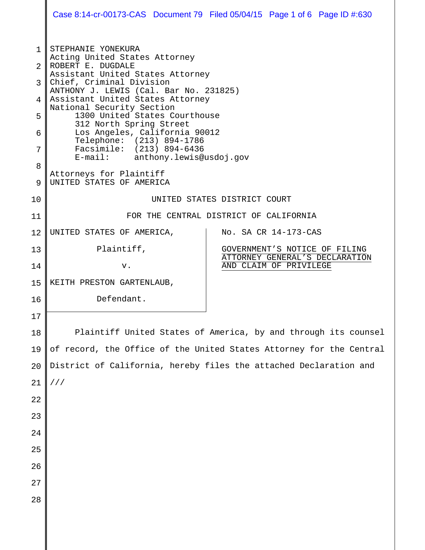|        |                                                                                                                                                                                                                                                               | Case 8:14-cr-00173-CAS Document 79 Filed 05/04/15 Page 1 of 6 Page ID #:630 |  |
|--------|---------------------------------------------------------------------------------------------------------------------------------------------------------------------------------------------------------------------------------------------------------------|-----------------------------------------------------------------------------|--|
| 1<br>2 | STEPHANIE YONEKURA<br>Acting United States Attorney<br>ROBERT E. DUGDALE                                                                                                                                                                                      |                                                                             |  |
| 3      | Assistant United States Attorney<br>Chief, Criminal Division<br>ANTHONY J. LEWIS (Cal. Bar No. 231825)                                                                                                                                                        |                                                                             |  |
| 4      | Assistant United States Attorney<br>National Security Section<br>1300 United States Courthouse<br>312 North Spring Street<br>Los Angeles, California 90012<br>Telephone: (213) 894-1786<br>Facsimile: (213) 894-6436<br>anthony.lewis@usdoj.gov<br>$E$ -mail: |                                                                             |  |
| 5<br>6 |                                                                                                                                                                                                                                                               |                                                                             |  |
| 7      |                                                                                                                                                                                                                                                               |                                                                             |  |
| 8<br>9 | Attorneys for Plaintiff<br>UNITED STATES OF AMERICA                                                                                                                                                                                                           |                                                                             |  |
| 10     | UNITED STATES DISTRICT COURT                                                                                                                                                                                                                                  |                                                                             |  |
| 11     | FOR THE CENTRAL DISTRICT OF CALIFORNIA                                                                                                                                                                                                                        |                                                                             |  |
| 12     | UNITED STATES OF AMERICA,                                                                                                                                                                                                                                     | No. SA CR 14-173-CAS                                                        |  |
| 13     | Plaintiff,                                                                                                                                                                                                                                                    | GOVERNMENT'S NOTICE OF FILING<br>ATTORNEY GENERAL'S DECLARATION             |  |
| 14     | v.                                                                                                                                                                                                                                                            | AND CLAIM OF PRIVILEGE                                                      |  |
| 15     | KEITH PRESTON GARTENLAUB,                                                                                                                                                                                                                                     |                                                                             |  |
| 16     | Defendant.                                                                                                                                                                                                                                                    |                                                                             |  |
| 17     |                                                                                                                                                                                                                                                               |                                                                             |  |
| 18     | Plaintiff United States of America, by and through its counsel                                                                                                                                                                                                |                                                                             |  |
| 19     | of record, the Office of the United States Attorney for the Central                                                                                                                                                                                           |                                                                             |  |
| 20     | District of California, hereby files the attached Declaration and                                                                                                                                                                                             |                                                                             |  |
| 21     | //                                                                                                                                                                                                                                                            |                                                                             |  |
| 22     |                                                                                                                                                                                                                                                               |                                                                             |  |
| 23     |                                                                                                                                                                                                                                                               |                                                                             |  |
| 24     |                                                                                                                                                                                                                                                               |                                                                             |  |
| 25     |                                                                                                                                                                                                                                                               |                                                                             |  |
| 26     |                                                                                                                                                                                                                                                               |                                                                             |  |
| 27     |                                                                                                                                                                                                                                                               |                                                                             |  |
| 28     |                                                                                                                                                                                                                                                               |                                                                             |  |
|        |                                                                                                                                                                                                                                                               |                                                                             |  |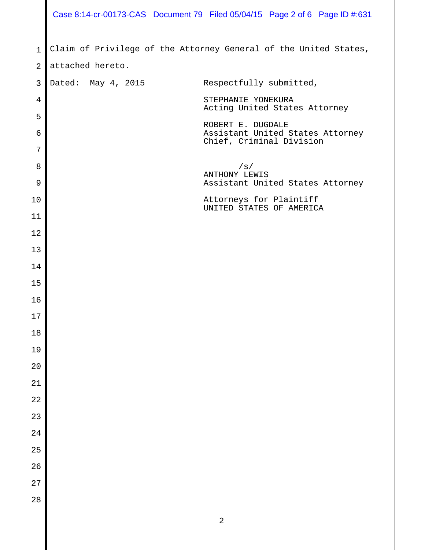|                | Case 8:14-cr-00173-CAS Document 79 Filed 05/04/15 Page 2 of 6 Page ID #:631          |                                                     |
|----------------|--------------------------------------------------------------------------------------|-----------------------------------------------------|
| $\mathbf{1}$   |                                                                                      |                                                     |
| $\overline{2}$ | Claim of Privilege of the Attorney General of the United States,<br>attached hereto. |                                                     |
| 3              | Dated: May 4, 2015                                                                   | Respectfully submitted,                             |
|                |                                                                                      |                                                     |
| 4              | STEPHANIE YONEKURA                                                                   | Acting United States Attorney                       |
| 5<br>6         | ROBERT E. DUGDALE                                                                    | Assistant United States Attorney                    |
| 7              |                                                                                      | Chief, Criminal Division                            |
| 8              | /s/                                                                                  |                                                     |
|                | <b>ANTHONY LEWIS</b>                                                                 |                                                     |
| 9              |                                                                                      | Assistant United States Attorney                    |
| 10             |                                                                                      | Attorneys for Plaintiff<br>UNITED STATES OF AMERICA |
| 11             |                                                                                      |                                                     |
| 12             |                                                                                      |                                                     |
| 13             |                                                                                      |                                                     |
| 14             |                                                                                      |                                                     |
| 15             |                                                                                      |                                                     |
| 16             |                                                                                      |                                                     |
| $17\,$         |                                                                                      |                                                     |
| $18\,$         |                                                                                      |                                                     |
| 19             |                                                                                      |                                                     |
| $20\,$         |                                                                                      |                                                     |
| 21             |                                                                                      |                                                     |
| 22             |                                                                                      |                                                     |
| 23             |                                                                                      |                                                     |
| 24             |                                                                                      |                                                     |
| 25             |                                                                                      |                                                     |
| 26             |                                                                                      |                                                     |
| 27             |                                                                                      |                                                     |
| 28             |                                                                                      |                                                     |
|                | $\sqrt{2}$                                                                           |                                                     |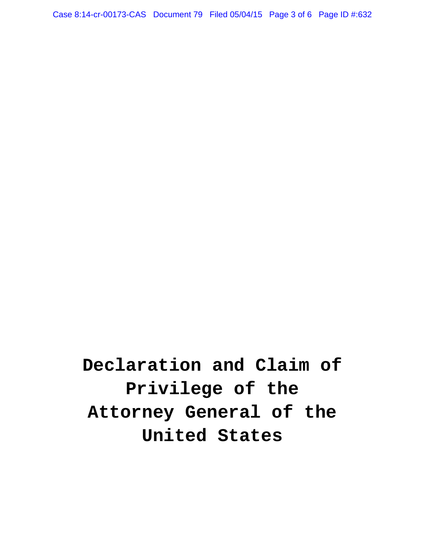Case 8:14-cr-00173-CAS Document 79 Filed 05/04/15 Page 3 of 6 Page ID #:632

**Declaration and Claim of Privilege of the Attorney General of the United States**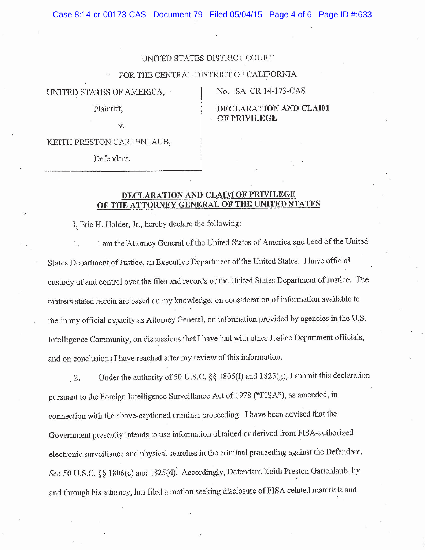Case 8:14-cr-00173-CAS Document 79 Filed 05/04/15 Page 4 of 6 Page ID #:633

## UNITED STATES DISTRICT COURT

## FOR THE CENTRAL DISTRICT OF CALIFORNIA

UNITED STATES OF AMERICA,

No. SA CR 14-173-CAS

**PRIVILEGE** 

ARATION AND CLAIM

Plaintiff,

v.

KEITH PRESTON GARTENLAUB,

Defendant.

## **DECLARATION AND CLAIM OF PRIVILEGE** OF THE ATTORNEY GENERAL OF THE UNITED STATES

I, Eric H. Holder, Jr., hereby declare the following:

I am the Attorney General of the United States of America and head of the United 1. States Department of Justice, an Executive Department of the United States. I have official custody of and control over the files and records of the United States Department of Justice. The matters stated herein are based on my knowledge, on consideration of information available to me in my official capacity as Attorney General, on information provided by agencies in the U.S. Intelligence Community, on discussions that I have had with other Justice Department officials, and on conclusions I have reached after my review of this information.

Under the authority of 50 U.S.C. §§ 1806(f) and 1825(g), I submit this declaration  $2.$ pursuant to the Foreign Intelligence Surveillance Act of 1978 ("FISA"), as amended, in connection with the above-captioned criminal proceeding. I have been advised that the Government presently intends to use information obtained or derived from FISA-authorized electronic surveillance and physical searches in the criminal proceeding against the Defendant. See 50 U.S.C. §§ 1806(c) and 1825(d). Accordingly, Defendant Keith Preston Gartenlaub, by and through his attorney, has filed a motion seeking disclosure of FISA-related materials and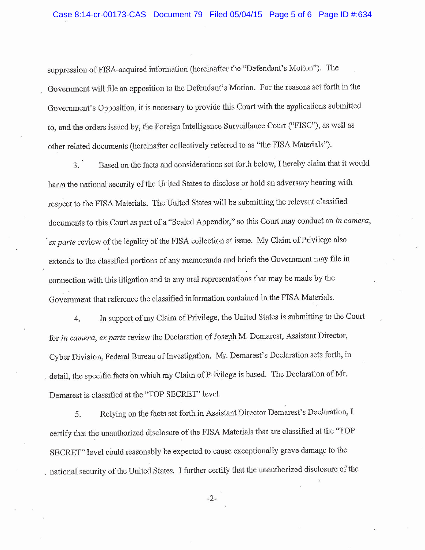suppression of FISA-acquired information (hereinafter the "Defendant's Motion"). The Government will file an opposition to the Defendant's Motion. For the reasons set forth in the Government's Opposition, it is necessary to provide this Court with the applications submitted to, and the orders issued by, the Foreign Intelligence Surveillance Court ("FISC"), as well as other related documents (hereinafter collectively referred to as "the FISA Materials").

Based on the facts and considerations set forth below, I hereby claim that it would  $3.$ harm the national security of the United States to disclose or hold an adversary hearing with respect to the FISA Materials. The United States will be submitting the relevant classified documents to this Court as part of a "Sealed Appendix," so this Court may conduct an in camera, ex parte review of the legality of the FISA collection at issue. My Claim of Privilege also extends to the classified portions of any memoranda and briefs the Government may file in connection with this litigation and to any oral representations that may be made by the Government that reference the classified information contained in the FISA Materials.

In support of my Claim of Privilege, the United States is submitting to the Court  $4.$ for in camera, ex parte review the Declaration of Joseph M. Demarest, Assistant Director, Cyber Division, Federal Bureau of Investigation. Mr. Demarest's Declaration sets forth, in detail, the specific facts on which my Claim of Privilege is based. The Declaration of Mr. Demarest is classified at the "TOP SECRET" level.

Relying on the facts set forth in Assistant Director Demarest's Declaration, I 5. certify that the unauthorized disclosure of the FISA Materials that are classified at the "TOP SECRET" level could reasonably be expected to cause exceptionally grave damage to the national security of the United States. I further certify that the unauthorized disclosure of the

 $-2-$